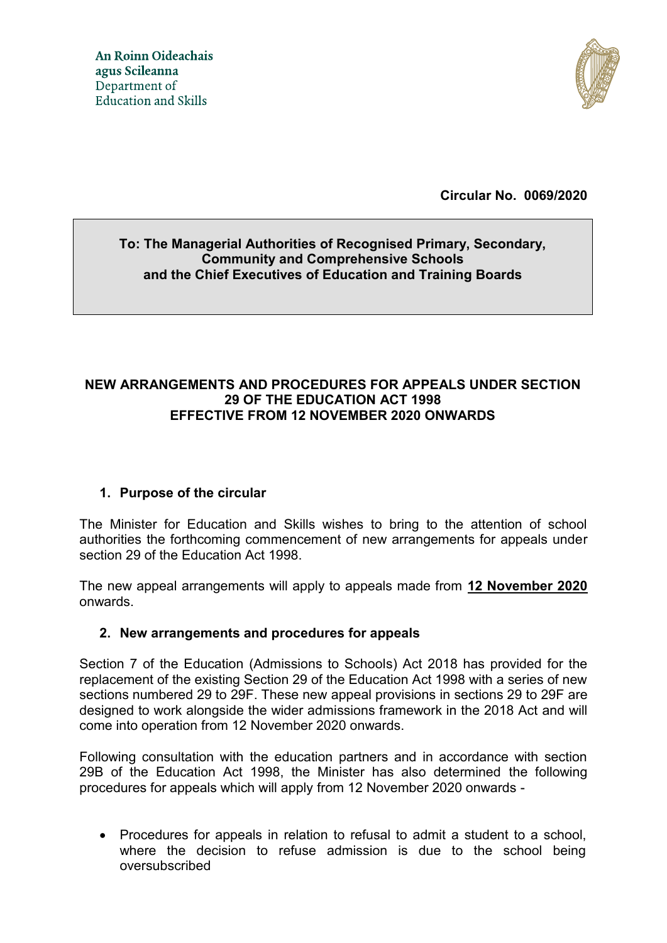

**Circular No. 0069/2020**

# **To: The Managerial Authorities of Recognised Primary, Secondary, Community and Comprehensive Schools and the Chief Executives of Education and Training Boards**

### **NEW ARRANGEMENTS AND PROCEDURES FOR APPEALS UNDER SECTION 29 OF THE EDUCATION ACT 1998 EFFECTIVE FROM 12 NOVEMBER 2020 ONWARDS**

# **1. Purpose of the circular**

The Minister for Education and Skills wishes to bring to the attention of school authorities the forthcoming commencement of new arrangements for appeals under section 29 of the Education Act 1998.

The new appeal arrangements will apply to appeals made from **12 November 2020** onwards.

### **2. New arrangements and procedures for appeals**

Section 7 of the Education (Admissions to Schools) Act 2018 has provided for the replacement of the existing Section 29 of the Education Act 1998 with a series of new sections numbered 29 to 29F. These new appeal provisions in sections 29 to 29F are designed to work alongside the wider admissions framework in the 2018 Act and will come into operation from 12 November 2020 onwards.

Following consultation with the education partners and in accordance with section 29B of the Education Act 1998, the Minister has also determined the following procedures for appeals which will apply from 12 November 2020 onwards -

 Procedures for appeals in relation to refusal to admit a student to a school, where the decision to refuse admission is due to the school being oversubscribed